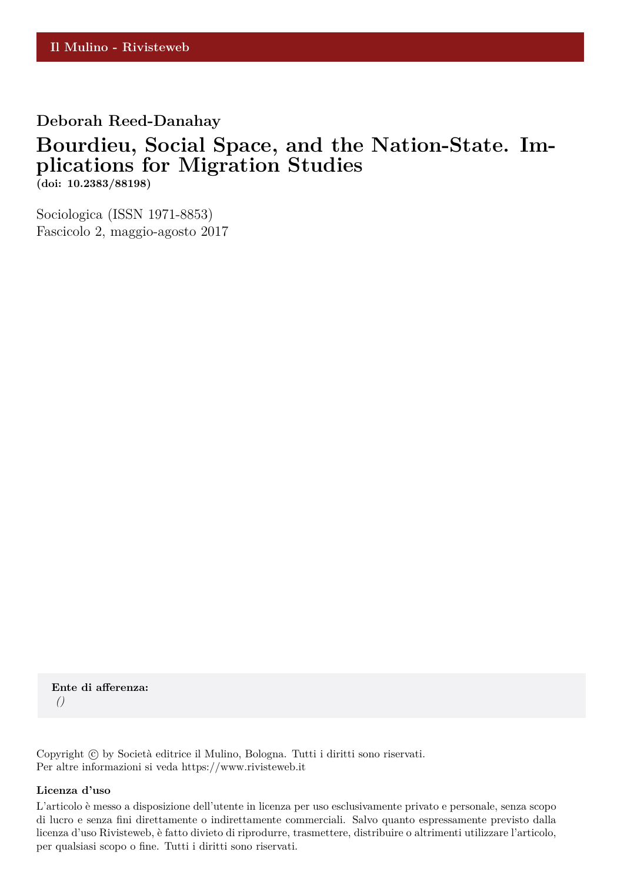## **Deborah Reed-Danahay**

# **Bourdieu, Social Space, and the Nation-State. Implications for Migration Studies**

**(doi: 10.2383/88198)**

Sociologica (ISSN 1971-8853) Fascicolo 2, maggio-agosto 2017

**Ente di afferenza:** *()*

Copyright © by Società editrice il Mulino, Bologna. Tutti i diritti sono riservati. Per altre informazioni si veda https://www.rivisteweb.it

#### **Licenza d'uso**

L'articolo è messo a disposizione dell'utente in licenza per uso esclusivamente privato e personale, senza scopo di lucro e senza fini direttamente o indirettamente commerciali. Salvo quanto espressamente previsto dalla licenza d'uso Rivisteweb, è fatto divieto di riprodurre, trasmettere, distribuire o altrimenti utilizzare l'articolo, per qualsiasi scopo o fine. Tutti i diritti sono riservati.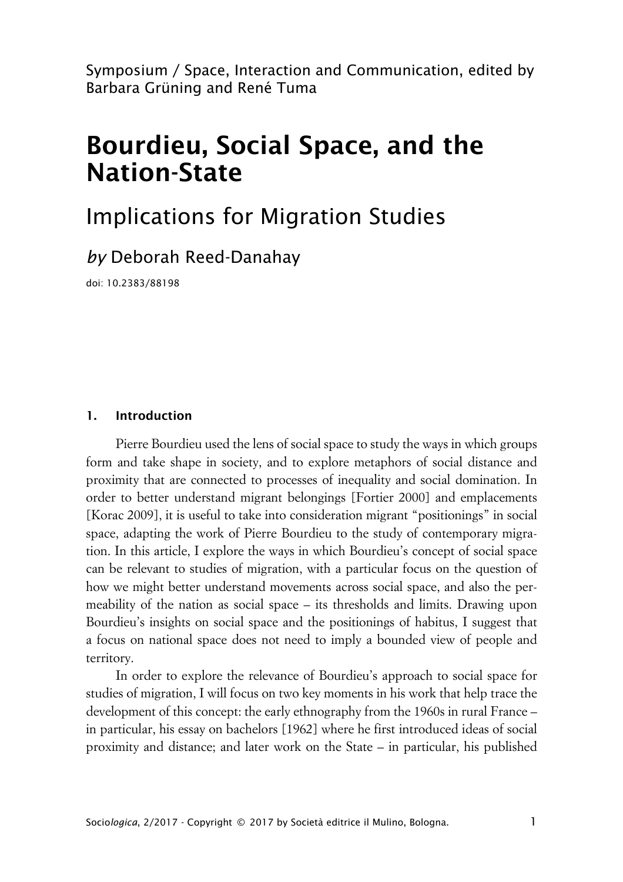Symposium / Space, Interaction and Communication, edited by Barbara Grüning and René Tuma

# **Bourdieu, Social Space, and the Nation-State**

# Implications for Migration Studies

*by* Deborah Reed-Danahay

doi: 10.2383/88198

#### **1. Introduction**

Pierre Bourdieu used the lens of social space to study the ways in which groups form and take shape in society, and to explore metaphors of social distance and proximity that are connected to processes of inequality and social domination. In order to better understand migrant belongings [Fortier 2000] and emplacements [Korac 2009], it is useful to take into consideration migrant "positionings" in social space, adapting the work of Pierre Bourdieu to the study of contemporary migration. In this article, I explore the ways in which Bourdieu's concept of social space can be relevant to studies of migration, with a particular focus on the question of how we might better understand movements across social space, and also the permeability of the nation as social space – its thresholds and limits. Drawing upon Bourdieu's insights on social space and the positionings of habitus, I suggest that a focus on national space does not need to imply a bounded view of people and territory.

In order to explore the relevance of Bourdieu's approach to social space for studies of migration, I will focus on two key moments in his work that help trace the development of this concept: the early ethnography from the 1960s in rural France – in particular, his essay on bachelors [1962] where he first introduced ideas of social proximity and distance; and later work on the State – in particular, his published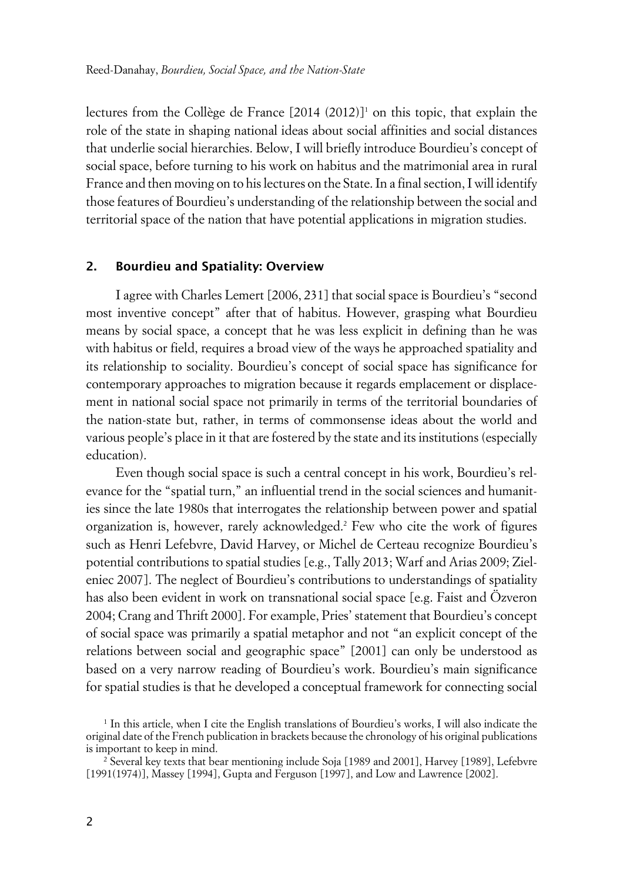lectures from the Collège de France [2014 (2012)]<sup>1</sup> on this topic, that explain the role of the state in shaping national ideas about social affinities and social distances that underlie social hierarchies. Below, I will briefly introduce Bourdieu's concept of social space, before turning to his work on habitus and the matrimonial area in rural France and then moving on to his lectures on the State. In a final section, I will identify those features of Bourdieu's understanding of the relationship between the social and territorial space of the nation that have potential applications in migration studies.

#### **2. Bourdieu and Spatiality: Overview**

I agree with Charles Lemert [2006, 231] that social space is Bourdieu's "second most inventive concept" after that of habitus. However, grasping what Bourdieu means by social space, a concept that he was less explicit in defining than he was with habitus or field, requires a broad view of the ways he approached spatiality and its relationship to sociality. Bourdieu's concept of social space has significance for contemporary approaches to migration because it regards emplacement or displacement in national social space not primarily in terms of the territorial boundaries of the nation-state but, rather, in terms of commonsense ideas about the world and various people's place in it that are fostered by the state and its institutions (especially education).

Even though social space is such a central concept in his work, Bourdieu's relevance for the "spatial turn," an influential trend in the social sciences and humanities since the late 1980s that interrogates the relationship between power and spatial organization is, however, rarely acknowledged.<sup>2</sup> Few who cite the work of figures such as Henri Lefebvre, David Harvey, or Michel de Certeau recognize Bourdieu's potential contributions to spatial studies [e.g., Tally 2013; Warf and Arias 2009; Zieleniec 2007]. The neglect of Bourdieu's contributions to understandings of spatiality has also been evident in work on transnational social space [e.g. Faist and Özveron 2004; Crang and Thrift 2000]. For example, Pries' statement that Bourdieu's concept of social space was primarily a spatial metaphor and not "an explicit concept of the relations between social and geographic space" [2001] can only be understood as based on a very narrow reading of Bourdieu's work. Bourdieu's main significance for spatial studies is that he developed a conceptual framework for connecting social

<sup>1</sup> In this article, when I cite the English translations of Bourdieu's works, I will also indicate the original date of the French publication in brackets because the chronology of his original publications is important to keep in mind.

<sup>2</sup> Several key texts that bear mentioning include Soja [1989 and 2001], Harvey [1989], Lefebvre [1991(1974)], Massey [1994], Gupta and Ferguson [1997], and Low and Lawrence [2002].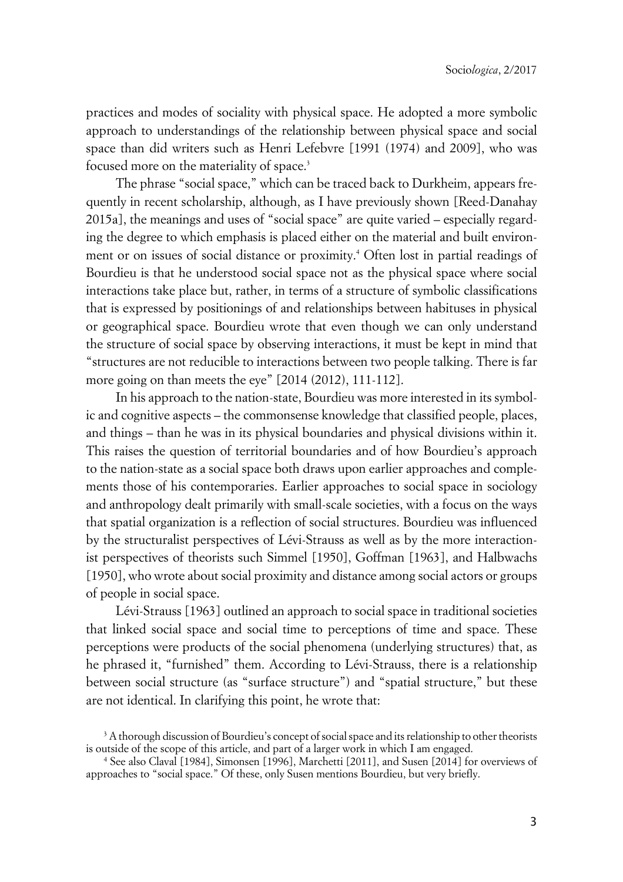practices and modes of sociality with physical space. He adopted a more symbolic approach to understandings of the relationship between physical space and social space than did writers such as Henri Lefebvre [1991 (1974) and 2009], who was focused more on the materiality of space.<sup>3</sup>

The phrase "social space," which can be traced back to Durkheim, appears frequently in recent scholarship, although, as I have previously shown [Reed-Danahay 2015a], the meanings and uses of "social space" are quite varied – especially regarding the degree to which emphasis is placed either on the material and built environment or on issues of social distance or proximity.<sup>4</sup> Often lost in partial readings of Bourdieu is that he understood social space not as the physical space where social interactions take place but, rather, in terms of a structure of symbolic classifications that is expressed by positionings of and relationships between habituses in physical or geographical space. Bourdieu wrote that even though we can only understand the structure of social space by observing interactions, it must be kept in mind that "structures are not reducible to interactions between two people talking. There is far more going on than meets the eye" [2014 (2012), 111-112].

In his approach to the nation-state, Bourdieu was more interested in its symbolic and cognitive aspects – the commonsense knowledge that classified people, places, and things – than he was in its physical boundaries and physical divisions within it. This raises the question of territorial boundaries and of how Bourdieu's approach to the nation-state as a social space both draws upon earlier approaches and complements those of his contemporaries. Earlier approaches to social space in sociology and anthropology dealt primarily with small-scale societies, with a focus on the ways that spatial organization is a reflection of social structures. Bourdieu was influenced by the structuralist perspectives of Lévi-Strauss as well as by the more interactionist perspectives of theorists such Simmel [1950], Goffman [1963], and Halbwachs [1950], who wrote about social proximity and distance among social actors or groups of people in social space.

Lévi-Strauss [1963] outlined an approach to social space in traditional societies that linked social space and social time to perceptions of time and space. These perceptions were products of the social phenomena (underlying structures) that, as he phrased it, "furnished" them. According to Lévi-Strauss, there is a relationship between social structure (as "surface structure") and "spatial structure," but these are not identical. In clarifying this point, he wrote that:

 $^{\rm 3}$  A thorough discussion of Bourdieu's concept of social space and its relationship to other theorists is outside of the scope of this article, and part of a larger work in which I am engaged.

<sup>4</sup> See also Claval [1984], Simonsen [1996], Marchetti [2011], and Susen [2014] for overviews of approaches to "social space." Of these, only Susen mentions Bourdieu, but very briefly.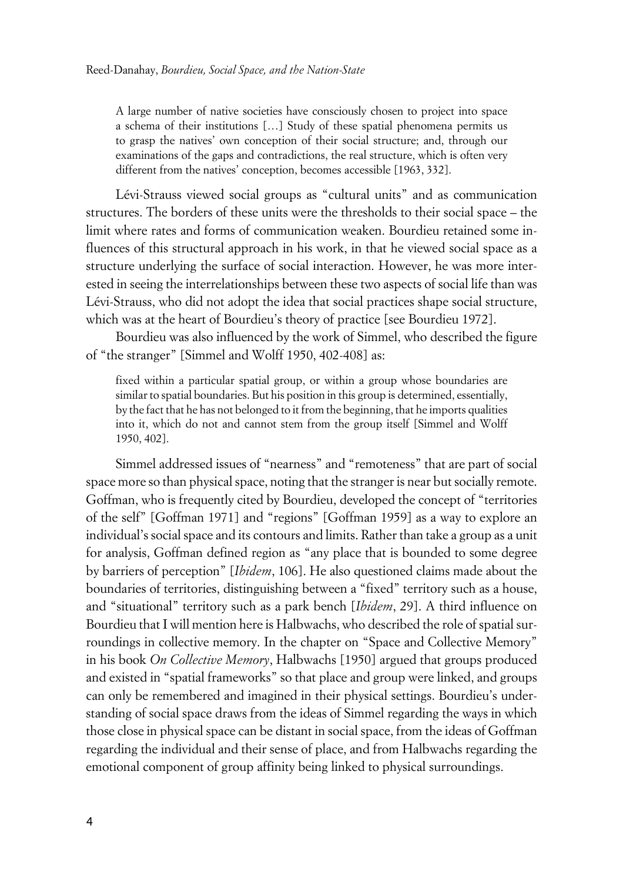A large number of native societies have consciously chosen to project into space a schema of their institutions […] Study of these spatial phenomena permits us to grasp the natives' own conception of their social structure; and, through our examinations of the gaps and contradictions, the real structure, which is often very different from the natives' conception, becomes accessible [1963, 332].

Lévi-Strauss viewed social groups as "cultural units" and as communication structures. The borders of these units were the thresholds to their social space – the limit where rates and forms of communication weaken. Bourdieu retained some influences of this structural approach in his work, in that he viewed social space as a structure underlying the surface of social interaction. However, he was more interested in seeing the interrelationships between these two aspects of social life than was Lévi-Strauss, who did not adopt the idea that social practices shape social structure, which was at the heart of Bourdieu's theory of practice [see Bourdieu 1972].

Bourdieu was also influenced by the work of Simmel, who described the figure of "the stranger" [Simmel and Wolff 1950, 402-408] as:

fixed within a particular spatial group, or within a group whose boundaries are similar to spatial boundaries. But his position in this group is determined, essentially, by the fact that he has not belonged to it from the beginning, that he imports qualities into it, which do not and cannot stem from the group itself [Simmel and Wolff 1950, 402].

Simmel addressed issues of "nearness" and "remoteness" that are part of social space more so than physical space, noting that the stranger is near but socially remote. Goffman, who is frequently cited by Bourdieu, developed the concept of "territories of the self" [Goffman 1971] and "regions" [Goffman 1959] as a way to explore an individual's social space and its contours and limits. Rather than take a group as a unit for analysis, Goffman defined region as "any place that is bounded to some degree by barriers of perception" [*Ibidem*, 106]. He also questioned claims made about the boundaries of territories, distinguishing between a "fixed" territory such as a house, and "situational" territory such as a park bench [*Ibidem*, 29]. A third influence on Bourdieu that I will mention here is Halbwachs, who described the role of spatial surroundings in collective memory. In the chapter on "Space and Collective Memory" in his book *On Collective Memory*, Halbwachs [1950] argued that groups produced and existed in "spatial frameworks" so that place and group were linked, and groups can only be remembered and imagined in their physical settings. Bourdieu's understanding of social space draws from the ideas of Simmel regarding the ways in which those close in physical space can be distant in social space, from the ideas of Goffman regarding the individual and their sense of place, and from Halbwachs regarding the emotional component of group affinity being linked to physical surroundings.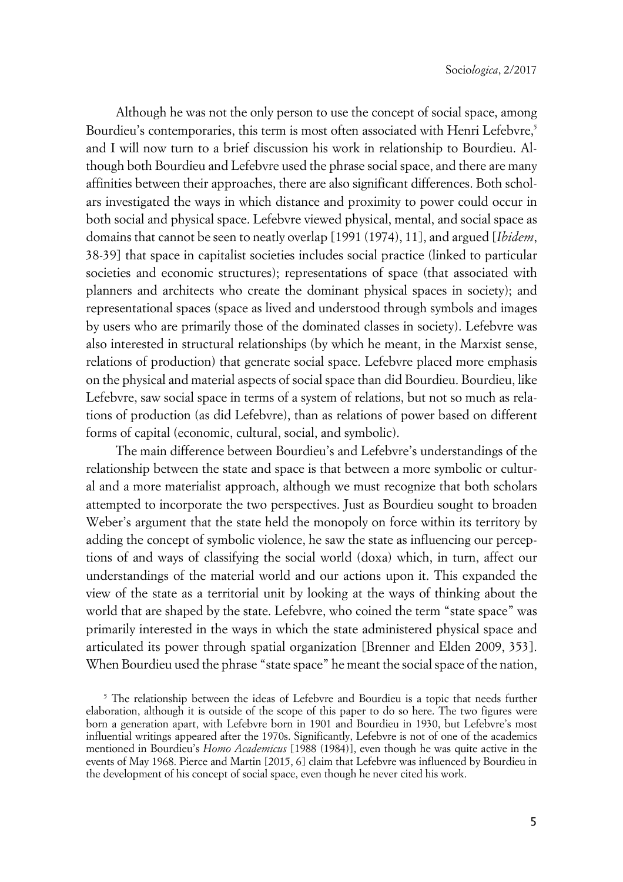Although he was not the only person to use the concept of social space, among Bourdieu's contemporaries, this term is most often associated with Henri Lefebvre,<sup>5</sup> and I will now turn to a brief discussion his work in relationship to Bourdieu. Although both Bourdieu and Lefebvre used the phrase social space, and there are many affinities between their approaches, there are also significant differences. Both scholars investigated the ways in which distance and proximity to power could occur in both social and physical space. Lefebvre viewed physical, mental, and social space as domains that cannot be seen to neatly overlap [1991 (1974), 11], and argued [*Ibidem*, 38-39] that space in capitalist societies includes social practice (linked to particular societies and economic structures); representations of space (that associated with planners and architects who create the dominant physical spaces in society); and representational spaces (space as lived and understood through symbols and images by users who are primarily those of the dominated classes in society). Lefebvre was also interested in structural relationships (by which he meant, in the Marxist sense, relations of production) that generate social space. Lefebvre placed more emphasis on the physical and material aspects of social space than did Bourdieu. Bourdieu, like Lefebvre, saw social space in terms of a system of relations, but not so much as relations of production (as did Lefebvre), than as relations of power based on different forms of capital (economic, cultural, social, and symbolic).

The main difference between Bourdieu's and Lefebvre's understandings of the relationship between the state and space is that between a more symbolic or cultural and a more materialist approach, although we must recognize that both scholars attempted to incorporate the two perspectives. Just as Bourdieu sought to broaden Weber's argument that the state held the monopoly on force within its territory by adding the concept of symbolic violence, he saw the state as influencing our perceptions of and ways of classifying the social world (doxa) which, in turn, affect our understandings of the material world and our actions upon it. This expanded the view of the state as a territorial unit by looking at the ways of thinking about the world that are shaped by the state. Lefebvre, who coined the term "state space" was primarily interested in the ways in which the state administered physical space and articulated its power through spatial organization [Brenner and Elden 2009, 353]. When Bourdieu used the phrase "state space" he meant the social space of the nation,

<sup>5</sup> The relationship between the ideas of Lefebvre and Bourdieu is a topic that needs further elaboration, although it is outside of the scope of this paper to do so here. The two figures were born a generation apart, with Lefebvre born in 1901 and Bourdieu in 1930, but Lefebvre's most influential writings appeared after the 1970s. Significantly, Lefebvre is not of one of the academics mentioned in Bourdieu's *Homo Academicus* [1988 (1984)], even though he was quite active in the events of May 1968. Pierce and Martin [2015, 6] claim that Lefebvre was influenced by Bourdieu in the development of his concept of social space, even though he never cited his work.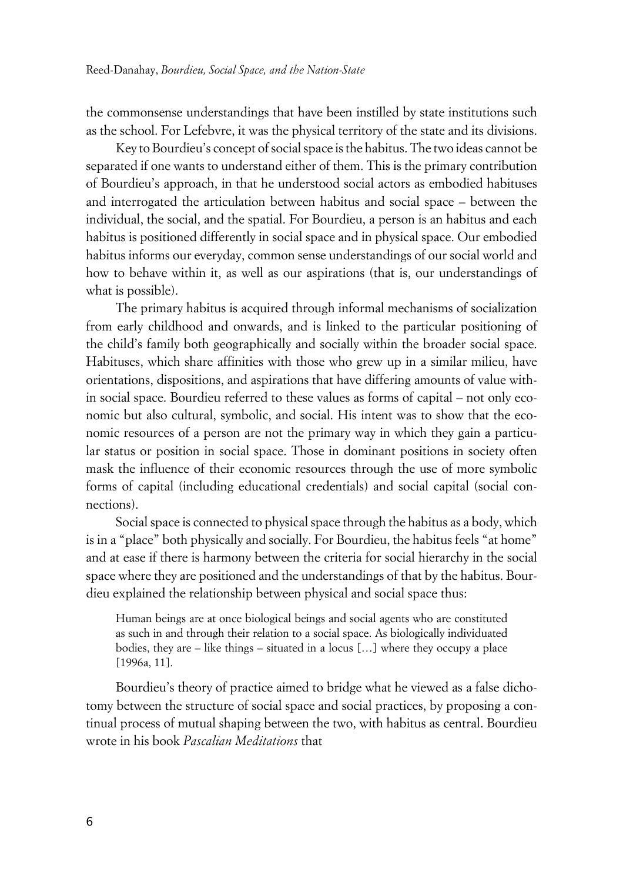the commonsense understandings that have been instilled by state institutions such as the school. For Lefebvre, it was the physical territory of the state and its divisions.

Key to Bourdieu's concept of social space is the habitus. The two ideas cannot be separated if one wants to understand either of them. This is the primary contribution of Bourdieu's approach, in that he understood social actors as embodied habituses and interrogated the articulation between habitus and social space – between the individual, the social, and the spatial. For Bourdieu, a person is an habitus and each habitus is positioned differently in social space and in physical space. Our embodied habitus informs our everyday, common sense understandings of our social world and how to behave within it, as well as our aspirations (that is, our understandings of what is possible).

The primary habitus is acquired through informal mechanisms of socialization from early childhood and onwards, and is linked to the particular positioning of the child's family both geographically and socially within the broader social space. Habituses, which share affinities with those who grew up in a similar milieu, have orientations, dispositions, and aspirations that have differing amounts of value within social space. Bourdieu referred to these values as forms of capital – not only economic but also cultural, symbolic, and social. His intent was to show that the economic resources of a person are not the primary way in which they gain a particular status or position in social space. Those in dominant positions in society often mask the influence of their economic resources through the use of more symbolic forms of capital (including educational credentials) and social capital (social connections).

Social space is connected to physical space through the habitus as a body, which is in a "place" both physically and socially. For Bourdieu, the habitus feels "at home" and at ease if there is harmony between the criteria for social hierarchy in the social space where they are positioned and the understandings of that by the habitus. Bourdieu explained the relationship between physical and social space thus:

Human beings are at once biological beings and social agents who are constituted as such in and through their relation to a social space. As biologically individuated bodies, they are – like things – situated in a locus […] where they occupy a place [1996a, 11].

Bourdieu's theory of practice aimed to bridge what he viewed as a false dichotomy between the structure of social space and social practices, by proposing a continual process of mutual shaping between the two, with habitus as central. Bourdieu wrote in his book *Pascalian Meditations* that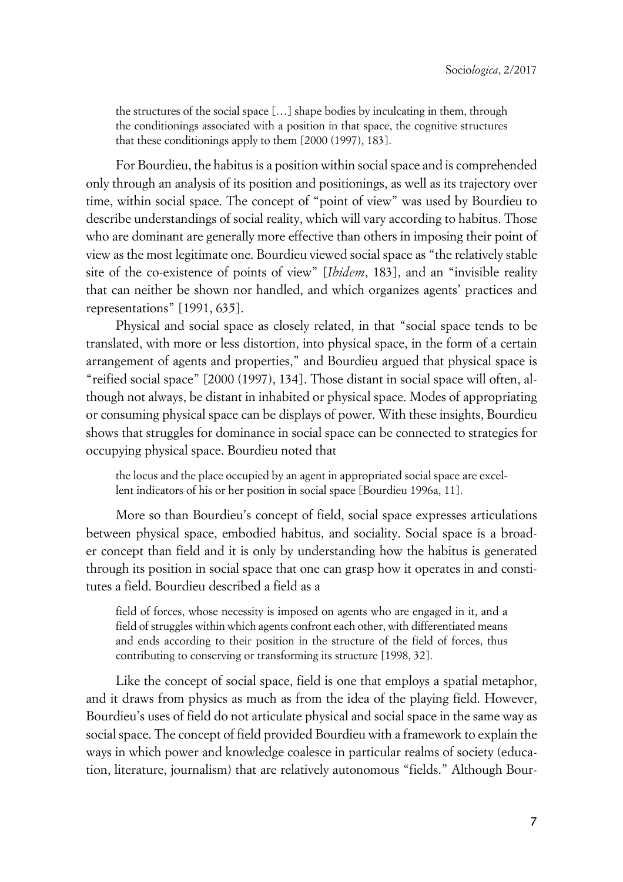the structures of the social space […] shape bodies by inculcating in them, through the conditionings associated with a position in that space, the cognitive structures that these conditionings apply to them [2000 (1997), 183].

For Bourdieu, the habitus is a position within social space and is comprehended only through an analysis of its position and positionings, as well as its trajectory over time, within social space. The concept of "point of view" was used by Bourdieu to describe understandings of social reality, which will vary according to habitus. Those who are dominant are generally more effective than others in imposing their point of view as the most legitimate one. Bourdieu viewed social space as "the relatively stable site of the co-existence of points of view" [*Ibidem*, 183], and an "invisible reality that can neither be shown nor handled, and which organizes agents' practices and representations" [1991, 635].

Physical and social space as closely related, in that "social space tends to be translated, with more or less distortion, into physical space, in the form of a certain arrangement of agents and properties," and Bourdieu argued that physical space is "reified social space" [2000 (1997), 134]. Those distant in social space will often, although not always, be distant in inhabited or physical space. Modes of appropriating or consuming physical space can be displays of power. With these insights, Bourdieu shows that struggles for dominance in social space can be connected to strategies for occupying physical space. Bourdieu noted that

the locus and the place occupied by an agent in appropriated social space are excellent indicators of his or her position in social space [Bourdieu 1996a, 11].

More so than Bourdieu's concept of field, social space expresses articulations between physical space, embodied habitus, and sociality. Social space is a broader concept than field and it is only by understanding how the habitus is generated through its position in social space that one can grasp how it operates in and constitutes a field. Bourdieu described a field as a

field of forces, whose necessity is imposed on agents who are engaged in it, and a field of struggles within which agents confront each other, with differentiated means and ends according to their position in the structure of the field of forces, thus contributing to conserving or transforming its structure [1998, 32].

Like the concept of social space, field is one that employs a spatial metaphor, and it draws from physics as much as from the idea of the playing field. However, Bourdieu's uses of field do not articulate physical and social space in the same way as social space. The concept of field provided Bourdieu with a framework to explain the ways in which power and knowledge coalesce in particular realms of society (education, literature, journalism) that are relatively autonomous "fields." Although Bour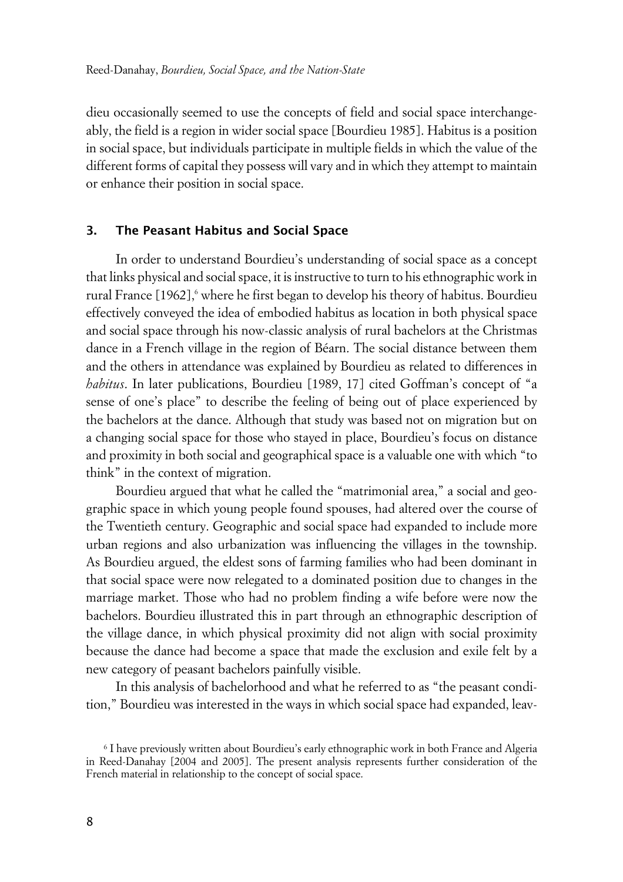dieu occasionally seemed to use the concepts of field and social space interchangeably, the field is a region in wider social space [Bourdieu 1985]. Habitus is a position in social space, but individuals participate in multiple fields in which the value of the different forms of capital they possess will vary and in which they attempt to maintain or enhance their position in social space.

### **3. The Peasant Habitus and Social Space**

In order to understand Bourdieu's understanding of social space as a concept that links physical and social space, it is instructive to turn to his ethnographic work in rural France [1962],' where he first began to develop his theory of habitus. Bourdieu effectively conveyed the idea of embodied habitus as location in both physical space and social space through his now-classic analysis of rural bachelors at the Christmas dance in a French village in the region of Béarn. The social distance between them and the others in attendance was explained by Bourdieu as related to differences in *habitus*. In later publications, Bourdieu [1989, 17] cited Goffman's concept of "a sense of one's place" to describe the feeling of being out of place experienced by the bachelors at the dance. Although that study was based not on migration but on a changing social space for those who stayed in place, Bourdieu's focus on distance and proximity in both social and geographical space is a valuable one with which "to think" in the context of migration.

Bourdieu argued that what he called the "matrimonial area," a social and geographic space in which young people found spouses, had altered over the course of the Twentieth century. Geographic and social space had expanded to include more urban regions and also urbanization was influencing the villages in the township. As Bourdieu argued, the eldest sons of farming families who had been dominant in that social space were now relegated to a dominated position due to changes in the marriage market. Those who had no problem finding a wife before were now the bachelors. Bourdieu illustrated this in part through an ethnographic description of the village dance, in which physical proximity did not align with social proximity because the dance had become a space that made the exclusion and exile felt by a new category of peasant bachelors painfully visible.

In this analysis of bachelorhood and what he referred to as "the peasant condition," Bourdieu was interested in the ways in which social space had expanded, leav-

 $\rm ^6$  I have previously written about Bourdieu's early ethnographic work in both France and Algeria in Reed-Danahay [2004 and 2005]. The present analysis represents further consideration of the French material in relationship to the concept of social space.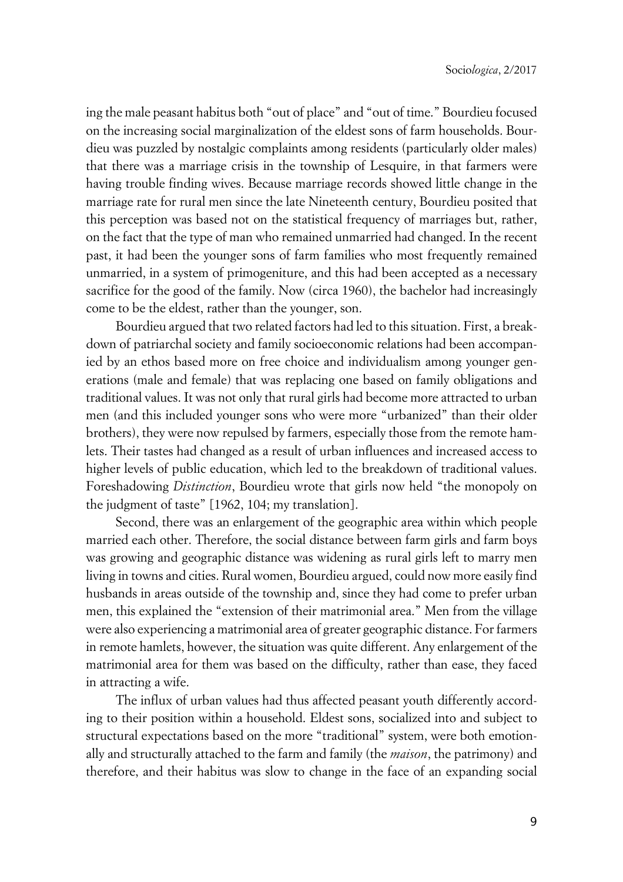ing the male peasant habitus both "out of place" and "out of time." Bourdieu focused on the increasing social marginalization of the eldest sons of farm households. Bourdieu was puzzled by nostalgic complaints among residents (particularly older males) that there was a marriage crisis in the township of Lesquire, in that farmers were having trouble finding wives. Because marriage records showed little change in the marriage rate for rural men since the late Nineteenth century, Bourdieu posited that this perception was based not on the statistical frequency of marriages but, rather, on the fact that the type of man who remained unmarried had changed. In the recent past, it had been the younger sons of farm families who most frequently remained unmarried, in a system of primogeniture, and this had been accepted as a necessary sacrifice for the good of the family. Now (circa 1960), the bachelor had increasingly come to be the eldest, rather than the younger, son.

Bourdieu argued that two related factors had led to this situation. First, a breakdown of patriarchal society and family socioeconomic relations had been accompanied by an ethos based more on free choice and individualism among younger generations (male and female) that was replacing one based on family obligations and traditional values. It was not only that rural girls had become more attracted to urban men (and this included younger sons who were more "urbanized" than their older brothers), they were now repulsed by farmers, especially those from the remote hamlets. Their tastes had changed as a result of urban influences and increased access to higher levels of public education, which led to the breakdown of traditional values. Foreshadowing *Distinction*, Bourdieu wrote that girls now held "the monopoly on the judgment of taste" [1962, 104; my translation].

Second, there was an enlargement of the geographic area within which people married each other. Therefore, the social distance between farm girls and farm boys was growing and geographic distance was widening as rural girls left to marry men living in towns and cities. Rural women, Bourdieu argued, could now more easily find husbands in areas outside of the township and, since they had come to prefer urban men, this explained the "extension of their matrimonial area." Men from the village were also experiencing a matrimonial area of greater geographic distance. For farmers in remote hamlets, however, the situation was quite different. Any enlargement of the matrimonial area for them was based on the difficulty, rather than ease, they faced in attracting a wife.

The influx of urban values had thus affected peasant youth differently according to their position within a household. Eldest sons, socialized into and subject to structural expectations based on the more "traditional" system, were both emotionally and structurally attached to the farm and family (the *maison*, the patrimony) and therefore, and their habitus was slow to change in the face of an expanding social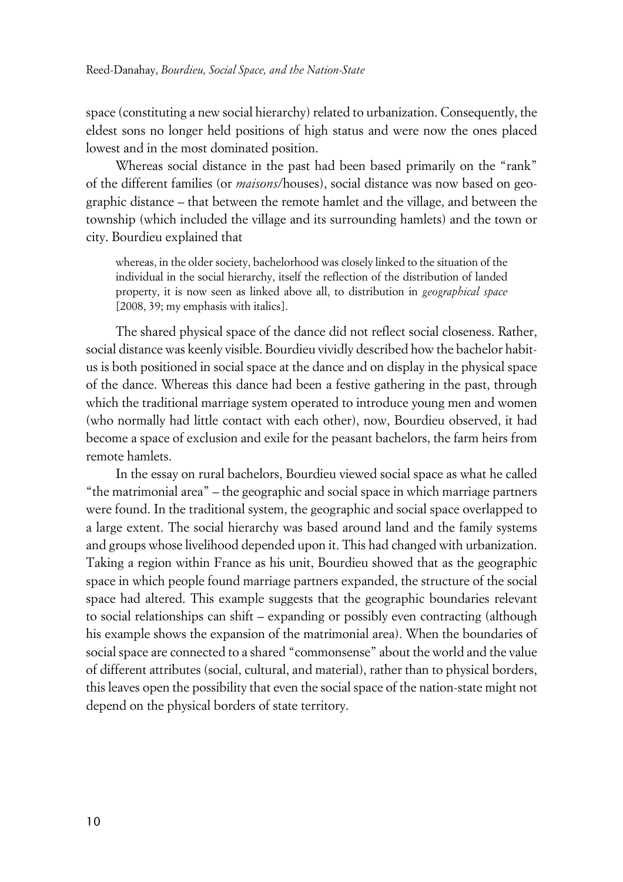space (constituting a new social hierarchy) related to urbanization. Consequently, the eldest sons no longer held positions of high status and were now the ones placed lowest and in the most dominated position.

Whereas social distance in the past had been based primarily on the "rank" of the different families (or *maisons*/houses), social distance was now based on geographic distance – that between the remote hamlet and the village, and between the township (which included the village and its surrounding hamlets) and the town or city. Bourdieu explained that

whereas, in the older society, bachelorhood was closely linked to the situation of the individual in the social hierarchy, itself the reflection of the distribution of landed property, it is now seen as linked above all, to distribution in *geographical space* [2008, 39; my emphasis with italics].

The shared physical space of the dance did not reflect social closeness. Rather, social distance was keenly visible. Bourdieu vividly described how the bachelor habitus is both positioned in social space at the dance and on display in the physical space of the dance. Whereas this dance had been a festive gathering in the past, through which the traditional marriage system operated to introduce young men and women (who normally had little contact with each other), now, Bourdieu observed, it had become a space of exclusion and exile for the peasant bachelors, the farm heirs from remote hamlets.

In the essay on rural bachelors, Bourdieu viewed social space as what he called "the matrimonial area" – the geographic and social space in which marriage partners were found. In the traditional system, the geographic and social space overlapped to a large extent. The social hierarchy was based around land and the family systems and groups whose livelihood depended upon it. This had changed with urbanization. Taking a region within France as his unit, Bourdieu showed that as the geographic space in which people found marriage partners expanded, the structure of the social space had altered. This example suggests that the geographic boundaries relevant to social relationships can shift – expanding or possibly even contracting (although his example shows the expansion of the matrimonial area). When the boundaries of social space are connected to a shared "commonsense" about the world and the value of different attributes (social, cultural, and material), rather than to physical borders, this leaves open the possibility that even the social space of the nation-state might not depend on the physical borders of state territory.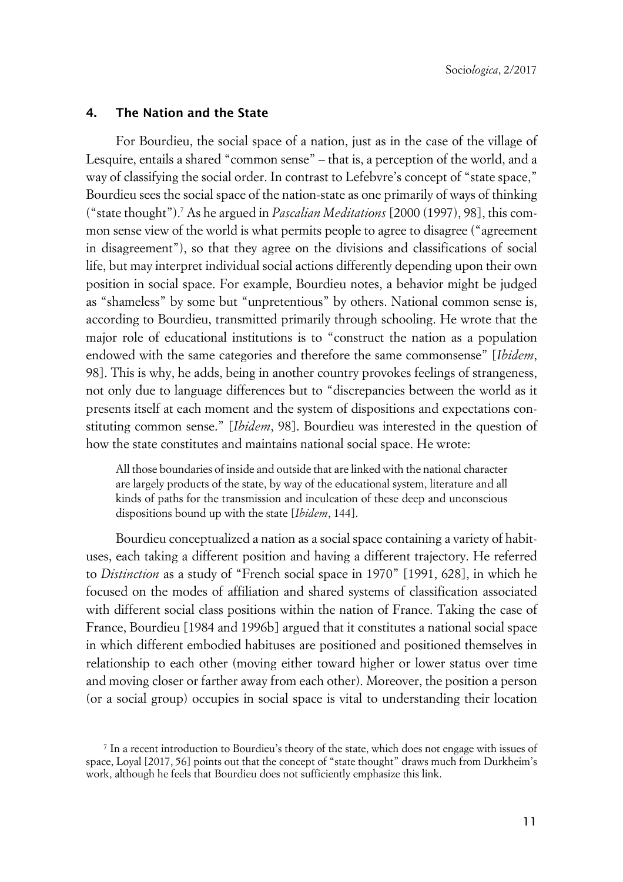### **4. The Nation and the State**

For Bourdieu, the social space of a nation, just as in the case of the village of Lesquire, entails a shared "common sense" – that is, a perception of the world, and a way of classifying the social order. In contrast to Lefebvre's concept of "state space," Bourdieu sees the social space of the nation-state as one primarily of ways of thinking ("state thought").<sup>7</sup> As he argued in *Pascalian Meditations* [2000 (1997), 98], this common sense view of the world is what permits people to agree to disagree ("agreement in disagreement"), so that they agree on the divisions and classifications of social life, but may interpret individual social actions differently depending upon their own position in social space. For example, Bourdieu notes, a behavior might be judged as "shameless" by some but "unpretentious" by others. National common sense is, according to Bourdieu, transmitted primarily through schooling. He wrote that the major role of educational institutions is to "construct the nation as a population endowed with the same categories and therefore the same commonsense" [*Ibidem*, 98]. This is why, he adds, being in another country provokes feelings of strangeness, not only due to language differences but to "discrepancies between the world as it presents itself at each moment and the system of dispositions and expectations constituting common sense." [*Ibidem*, 98]. Bourdieu was interested in the question of how the state constitutes and maintains national social space. He wrote:

All those boundaries of inside and outside that are linked with the national character are largely products of the state, by way of the educational system, literature and all kinds of paths for the transmission and inculcation of these deep and unconscious dispositions bound up with the state [*Ibidem*, 144].

Bourdieu conceptualized a nation as a social space containing a variety of habituses, each taking a different position and having a different trajectory. He referred to *Distinction* as a study of "French social space in 1970" [1991, 628], in which he focused on the modes of affiliation and shared systems of classification associated with different social class positions within the nation of France. Taking the case of France, Bourdieu [1984 and 1996b] argued that it constitutes a national social space in which different embodied habituses are positioned and positioned themselves in relationship to each other (moving either toward higher or lower status over time and moving closer or farther away from each other). Moreover, the position a person (or a social group) occupies in social space is vital to understanding their location

<sup>7</sup> In a recent introduction to Bourdieu's theory of the state, which does not engage with issues of space, Loyal [2017, 56] points out that the concept of "state thought" draws much from Durkheim's work, although he feels that Bourdieu does not sufficiently emphasize this link.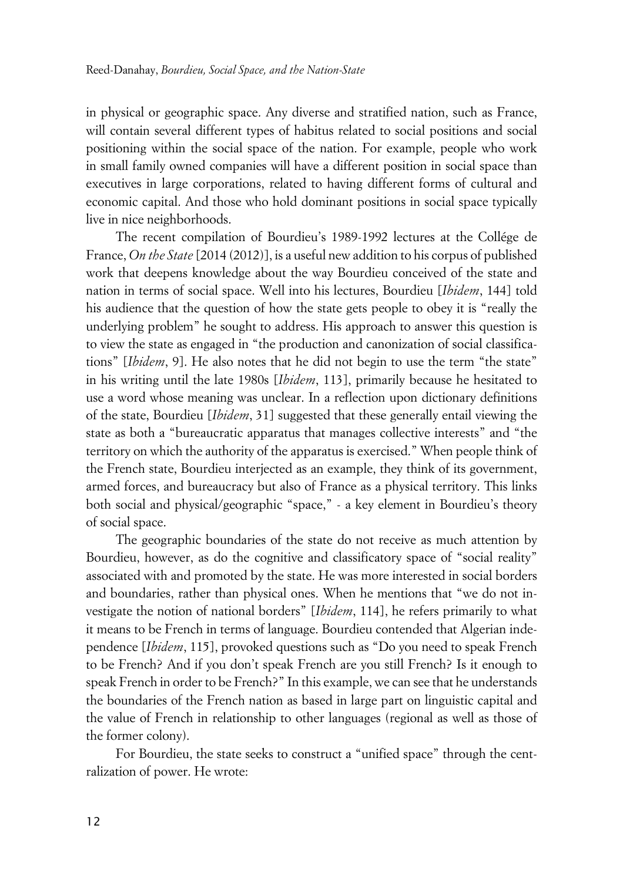in physical or geographic space. Any diverse and stratified nation, such as France, will contain several different types of habitus related to social positions and social positioning within the social space of the nation. For example, people who work in small family owned companies will have a different position in social space than executives in large corporations, related to having different forms of cultural and economic capital. And those who hold dominant positions in social space typically live in nice neighborhoods.

The recent compilation of Bourdieu's 1989-1992 lectures at the Collége de France, *On the State* [2014 (2012)], is a useful new addition to his corpus of published work that deepens knowledge about the way Bourdieu conceived of the state and nation in terms of social space. Well into his lectures, Bourdieu [*Ibidem*, 144] told his audience that the question of how the state gets people to obey it is "really the underlying problem" he sought to address. His approach to answer this question is to view the state as engaged in "the production and canonization of social classifications" [*Ibidem*, 9]. He also notes that he did not begin to use the term "the state" in his writing until the late 1980s [*Ibidem*, 113], primarily because he hesitated to use a word whose meaning was unclear. In a reflection upon dictionary definitions of the state, Bourdieu [*Ibidem*, 31] suggested that these generally entail viewing the state as both a "bureaucratic apparatus that manages collective interests" and "the territory on which the authority of the apparatus is exercised." When people think of the French state, Bourdieu interjected as an example, they think of its government, armed forces, and bureaucracy but also of France as a physical territory. This links both social and physical/geographic "space," - a key element in Bourdieu's theory of social space.

The geographic boundaries of the state do not receive as much attention by Bourdieu, however, as do the cognitive and classificatory space of "social reality" associated with and promoted by the state. He was more interested in social borders and boundaries, rather than physical ones. When he mentions that "we do not investigate the notion of national borders" [*Ibidem*, 114], he refers primarily to what it means to be French in terms of language. Bourdieu contended that Algerian independence [*Ibidem*, 115], provoked questions such as "Do you need to speak French to be French? And if you don't speak French are you still French? Is it enough to speak French in order to be French?" In this example, we can see that he understands the boundaries of the French nation as based in large part on linguistic capital and the value of French in relationship to other languages (regional as well as those of the former colony).

For Bourdieu, the state seeks to construct a "unified space" through the centralization of power. He wrote: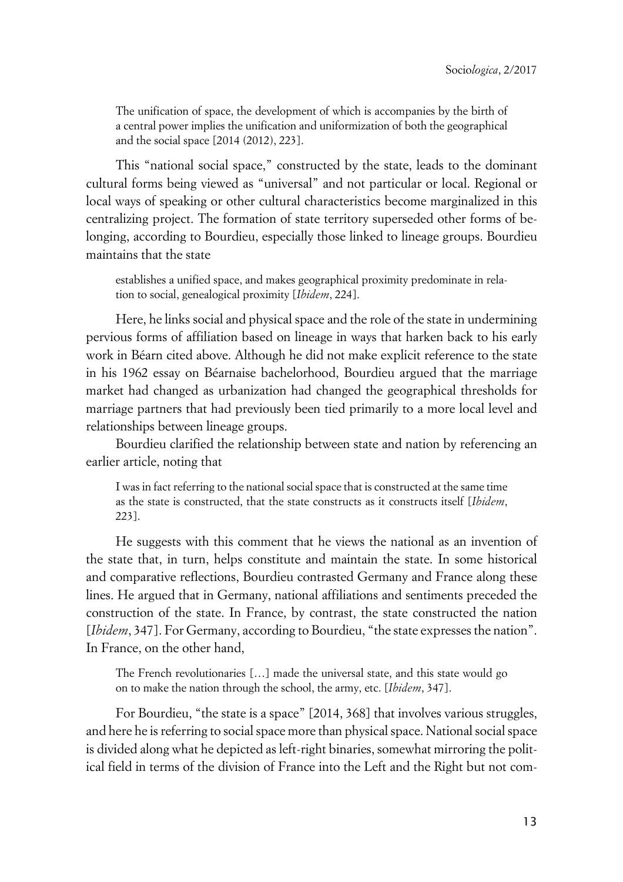The unification of space, the development of which is accompanies by the birth of a central power implies the unification and uniformization of both the geographical and the social space [2014 (2012), 223].

This "national social space," constructed by the state, leads to the dominant cultural forms being viewed as "universal" and not particular or local. Regional or local ways of speaking or other cultural characteristics become marginalized in this centralizing project. The formation of state territory superseded other forms of belonging, according to Bourdieu, especially those linked to lineage groups. Bourdieu maintains that the state

establishes a unified space, and makes geographical proximity predominate in relation to social, genealogical proximity [*Ibidem*, 224].

Here, he links social and physical space and the role of the state in undermining pervious forms of affiliation based on lineage in ways that harken back to his early work in Béarn cited above. Although he did not make explicit reference to the state in his 1962 essay on Béarnaise bachelorhood, Bourdieu argued that the marriage market had changed as urbanization had changed the geographical thresholds for marriage partners that had previously been tied primarily to a more local level and relationships between lineage groups.

Bourdieu clarified the relationship between state and nation by referencing an earlier article, noting that

I was in fact referring to the national social space that is constructed at the same time as the state is constructed, that the state constructs as it constructs itself [*Ibidem*, 223].

He suggests with this comment that he views the national as an invention of the state that, in turn, helps constitute and maintain the state. In some historical and comparative reflections, Bourdieu contrasted Germany and France along these lines. He argued that in Germany, national affiliations and sentiments preceded the construction of the state. In France, by contrast, the state constructed the nation [*Ibidem*, 347]. For Germany, according to Bourdieu, "the state expresses the nation". In France, on the other hand,

The French revolutionaries […] made the universal state, and this state would go on to make the nation through the school, the army, etc. [*Ibidem*, 347].

For Bourdieu, "the state is a space" [2014, 368] that involves various struggles, and here he is referring to social space more than physical space. National social space is divided along what he depicted as left-right binaries, somewhat mirroring the political field in terms of the division of France into the Left and the Right but not com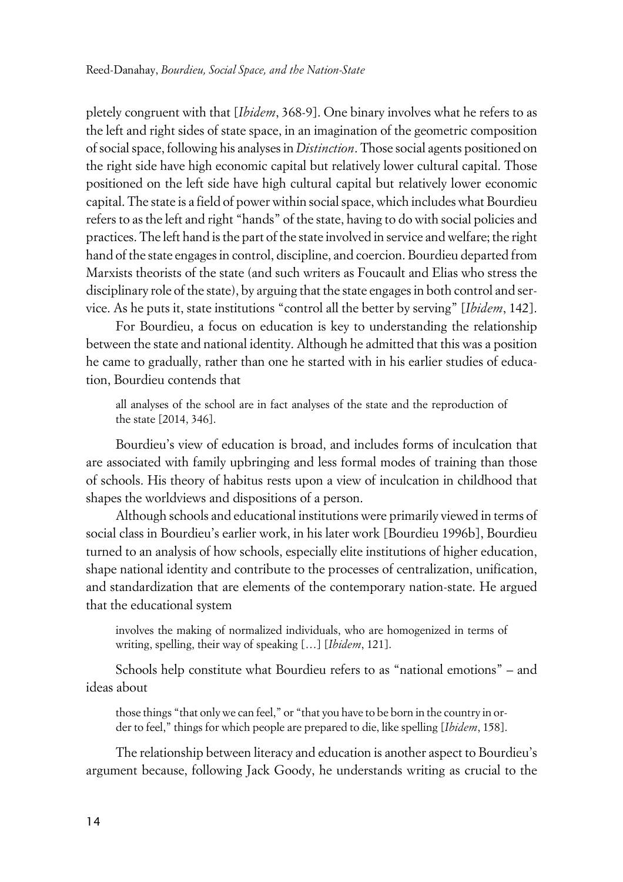pletely congruent with that [*Ibidem*, 368-9]. One binary involves what he refers to as the left and right sides of state space, in an imagination of the geometric composition of social space, following his analyses in *Distinction*. Those social agents positioned on the right side have high economic capital but relatively lower cultural capital. Those positioned on the left side have high cultural capital but relatively lower economic capital. The state is a field of power within social space, which includes what Bourdieu refers to as the left and right "hands" of the state, having to do with social policies and practices. The left hand is the part of the state involved in service and welfare; the right hand of the state engages in control, discipline, and coercion. Bourdieu departed from Marxists theorists of the state (and such writers as Foucault and Elias who stress the disciplinary role of the state), by arguing that the state engages in both control and service. As he puts it, state institutions "control all the better by serving" [*Ibidem*, 142].

For Bourdieu, a focus on education is key to understanding the relationship between the state and national identity. Although he admitted that this was a position he came to gradually, rather than one he started with in his earlier studies of education, Bourdieu contends that

all analyses of the school are in fact analyses of the state and the reproduction of the state [2014, 346].

Bourdieu's view of education is broad, and includes forms of inculcation that are associated with family upbringing and less formal modes of training than those of schools. His theory of habitus rests upon a view of inculcation in childhood that shapes the worldviews and dispositions of a person.

Although schools and educational institutions were primarily viewed in terms of social class in Bourdieu's earlier work, in his later work [Bourdieu 1996b], Bourdieu turned to an analysis of how schools, especially elite institutions of higher education, shape national identity and contribute to the processes of centralization, unification, and standardization that are elements of the contemporary nation-state. He argued that the educational system

involves the making of normalized individuals, who are homogenized in terms of writing, spelling, their way of speaking […] [*Ibidem*, 121].

Schools help constitute what Bourdieu refers to as "national emotions" – and ideas about

those things "that only we can feel," or "that you have to be born in the country in order to feel," things for which people are prepared to die, like spelling [*Ibidem*, 158].

The relationship between literacy and education is another aspect to Bourdieu's argument because, following Jack Goody, he understands writing as crucial to the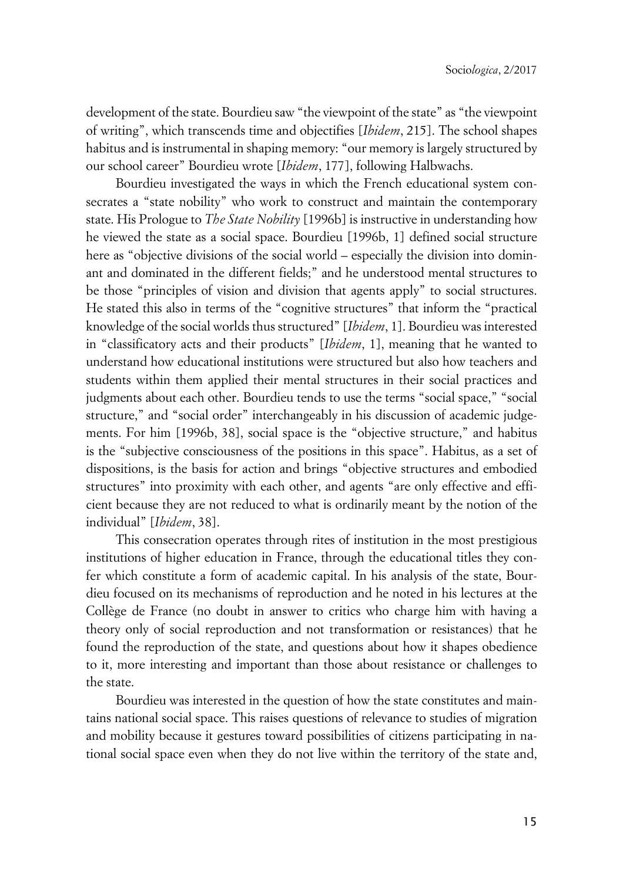development of the state. Bourdieu saw "the viewpoint of the state" as "the viewpoint of writing", which transcends time and objectifies [*Ibidem*, 215]. The school shapes habitus and is instrumental in shaping memory: "our memory is largely structured by our school career" Bourdieu wrote [*Ibidem*, 177], following Halbwachs.

Bourdieu investigated the ways in which the French educational system consecrates a "state nobility" who work to construct and maintain the contemporary state. His Prologue to *The State Nobility* [1996b] is instructive in understanding how he viewed the state as a social space. Bourdieu [1996b, 1] defined social structure here as "objective divisions of the social world – especially the division into dominant and dominated in the different fields;" and he understood mental structures to be those "principles of vision and division that agents apply" to social structures. He stated this also in terms of the "cognitive structures" that inform the "practical knowledge of the social worlds thus structured" [*Ibidem*, 1]. Bourdieu was interested in "classificatory acts and their products" [*Ibidem*, 1], meaning that he wanted to understand how educational institutions were structured but also how teachers and students within them applied their mental structures in their social practices and judgments about each other. Bourdieu tends to use the terms "social space," "social structure," and "social order" interchangeably in his discussion of academic judgements. For him [1996b, 38], social space is the "objective structure," and habitus is the "subjective consciousness of the positions in this space". Habitus, as a set of dispositions, is the basis for action and brings "objective structures and embodied structures" into proximity with each other, and agents "are only effective and efficient because they are not reduced to what is ordinarily meant by the notion of the individual" [*Ibidem*, 38].

This consecration operates through rites of institution in the most prestigious institutions of higher education in France, through the educational titles they confer which constitute a form of academic capital. In his analysis of the state, Bourdieu focused on its mechanisms of reproduction and he noted in his lectures at the Collège de France (no doubt in answer to critics who charge him with having a theory only of social reproduction and not transformation or resistances) that he found the reproduction of the state, and questions about how it shapes obedience to it, more interesting and important than those about resistance or challenges to the state.

Bourdieu was interested in the question of how the state constitutes and maintains national social space. This raises questions of relevance to studies of migration and mobility because it gestures toward possibilities of citizens participating in national social space even when they do not live within the territory of the state and,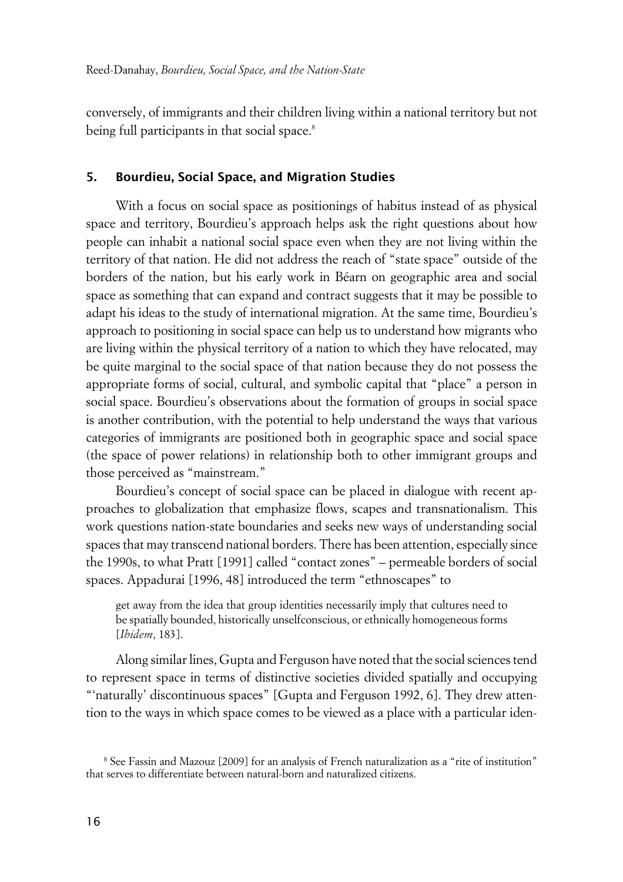conversely, of immigrants and their children living within a national territory but not being full participants in that social space.<sup>8</sup>

### **5. Bourdieu, Social Space, and Migration Studies**

With a focus on social space as positionings of habitus instead of as physical space and territory, Bourdieu's approach helps ask the right questions about how people can inhabit a national social space even when they are not living within the territory of that nation. He did not address the reach of "state space" outside of the borders of the nation, but his early work in Béarn on geographic area and social space as something that can expand and contract suggests that it may be possible to adapt his ideas to the study of international migration. At the same time, Bourdieu's approach to positioning in social space can help us to understand how migrants who are living within the physical territory of a nation to which they have relocated, may be quite marginal to the social space of that nation because they do not possess the appropriate forms of social, cultural, and symbolic capital that "place" a person in social space. Bourdieu's observations about the formation of groups in social space is another contribution, with the potential to help understand the ways that various categories of immigrants are positioned both in geographic space and social space (the space of power relations) in relationship both to other immigrant groups and those perceived as "mainstream."

Bourdieu's concept of social space can be placed in dialogue with recent approaches to globalization that emphasize flows, scapes and transnationalism. This work questions nation-state boundaries and seeks new ways of understanding social spaces that may transcend national borders. There has been attention, especially since the 1990s, to what Pratt [1991] called "contact zones" – permeable borders of social spaces. Appadurai [1996, 48] introduced the term "ethnoscapes" to

get away from the idea that group identities necessarily imply that cultures need to be spatially bounded, historically unselfconscious, or ethnically homogeneous forms [*Ibidem*, 183].

Along similar lines, Gupta and Ferguson have noted that the social sciences tend to represent space in terms of distinctive societies divided spatially and occupying "'naturally' discontinuous spaces" [Gupta and Ferguson 1992, 6]. They drew attention to the ways in which space comes to be viewed as a place with a particular iden-

<sup>8</sup> See Fassin and Mazouz [2009] for an analysis of French naturalization as a "rite of institution" that serves to differentiate between natural-born and naturalized citizens.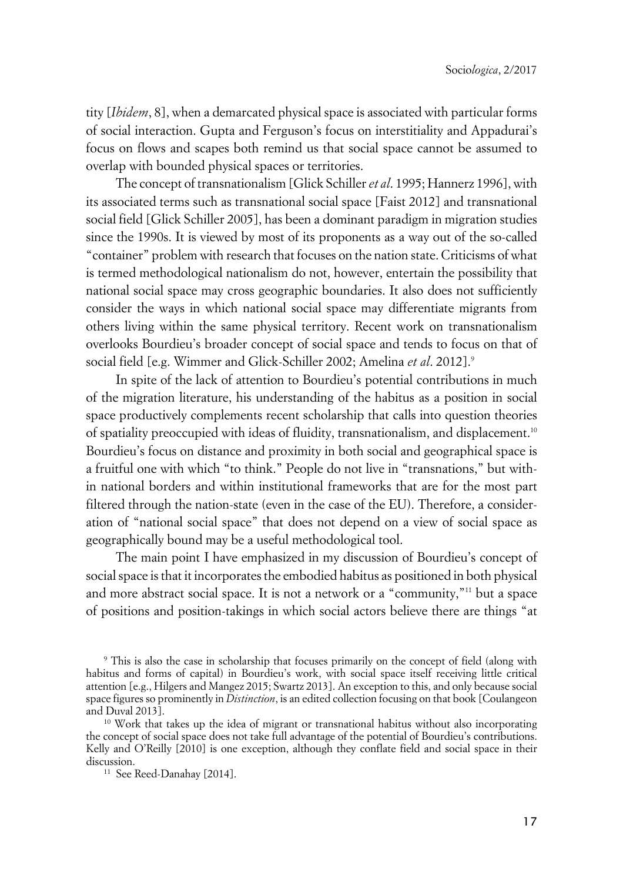tity [*Ibidem*, 8], when a demarcated physical space is associated with particular forms of social interaction. Gupta and Ferguson's focus on interstitiality and Appadurai's focus on flows and scapes both remind us that social space cannot be assumed to overlap with bounded physical spaces or territories.

The concept of transnationalism [Glick Schiller *et al*. 1995; Hannerz 1996], with its associated terms such as transnational social space [Faist 2012] and transnational social field [Glick Schiller 2005], has been a dominant paradigm in migration studies since the 1990s. It is viewed by most of its proponents as a way out of the so-called "container" problem with research that focuses on the nation state. Criticisms of what is termed methodological nationalism do not, however, entertain the possibility that national social space may cross geographic boundaries. It also does not sufficiently consider the ways in which national social space may differentiate migrants from others living within the same physical territory. Recent work on transnationalism overlooks Bourdieu's broader concept of social space and tends to focus on that of social field [e.g. Wimmer and Glick-Schiller 2002; Amelina *et al.* 2012].<sup>9</sup>

In spite of the lack of attention to Bourdieu's potential contributions in much of the migration literature, his understanding of the habitus as a position in social space productively complements recent scholarship that calls into question theories of spatiality preoccupied with ideas of fluidity, transnationalism, and displacement.<sup>10</sup> Bourdieu's focus on distance and proximity in both social and geographical space is a fruitful one with which "to think." People do not live in "transnations," but within national borders and within institutional frameworks that are for the most part filtered through the nation-state (even in the case of the EU). Therefore, a consideration of "national social space" that does not depend on a view of social space as geographically bound may be a useful methodological tool.

The main point I have emphasized in my discussion of Bourdieu's concept of social space is that it incorporates the embodied habitus as positioned in both physical and more abstract social space. It is not a network or a "community,"<sup>11</sup> but a space of positions and position-takings in which social actors believe there are things "at

9 This is also the case in scholarship that focuses primarily on the concept of field (along with habitus and forms of capital) in Bourdieu's work, with social space itself receiving little critical attention [e.g., Hilgers and Mangez 2015; Swartz 2013]. An exception to this, and only because social space figures so prominently in *Distinction*, is an edited collection focusing on that book [Coulangeon and Duval 2013].

<sup>&</sup>lt;sup>10</sup> Work that takes up the idea of migrant or transnational habitus without also incorporating the concept of social space does not take full advantage of the potential of Bourdieu's contributions. Kelly and O'Reilly [2010] is one exception, although they conflate field and social space in their discussion.

<sup>&</sup>lt;sup>11</sup> See Reed-Danahay [2014].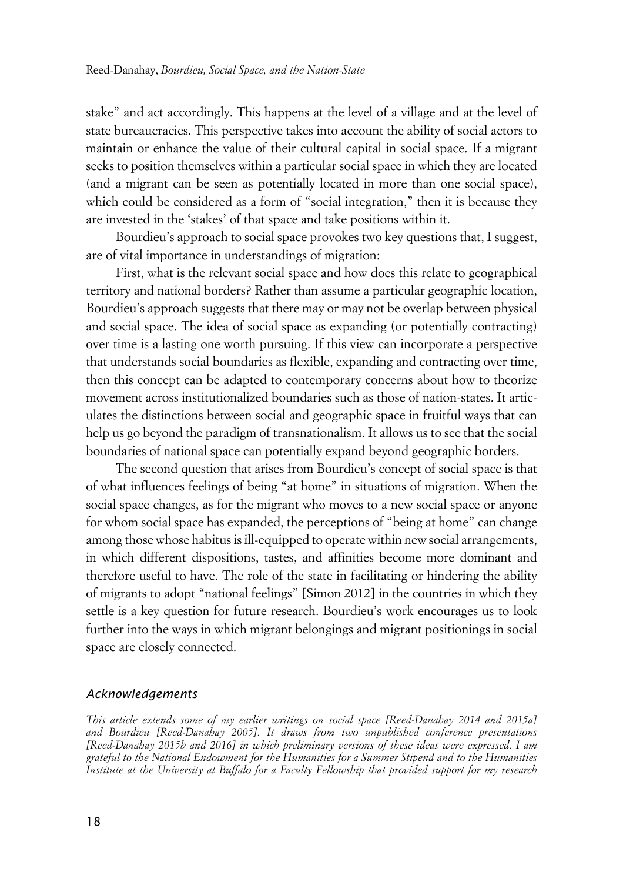stake" and act accordingly. This happens at the level of a village and at the level of state bureaucracies. This perspective takes into account the ability of social actors to maintain or enhance the value of their cultural capital in social space. If a migrant seeks to position themselves within a particular social space in which they are located (and a migrant can be seen as potentially located in more than one social space), which could be considered as a form of "social integration," then it is because they are invested in the 'stakes' of that space and take positions within it.

Bourdieu's approach to social space provokes two key questions that, I suggest, are of vital importance in understandings of migration:

First, what is the relevant social space and how does this relate to geographical territory and national borders? Rather than assume a particular geographic location, Bourdieu's approach suggests that there may or may not be overlap between physical and social space. The idea of social space as expanding (or potentially contracting) over time is a lasting one worth pursuing. If this view can incorporate a perspective that understands social boundaries as flexible, expanding and contracting over time, then this concept can be adapted to contemporary concerns about how to theorize movement across institutionalized boundaries such as those of nation-states. It articulates the distinctions between social and geographic space in fruitful ways that can help us go beyond the paradigm of transnationalism. It allows us to see that the social boundaries of national space can potentially expand beyond geographic borders.

The second question that arises from Bourdieu's concept of social space is that of what influences feelings of being "at home" in situations of migration. When the social space changes, as for the migrant who moves to a new social space or anyone for whom social space has expanded, the perceptions of "being at home" can change among those whose habitus is ill-equipped to operate within new social arrangements, in which different dispositions, tastes, and affinities become more dominant and therefore useful to have. The role of the state in facilitating or hindering the ability of migrants to adopt "national feelings" [Simon 2012] in the countries in which they settle is a key question for future research. Bourdieu's work encourages us to look further into the ways in which migrant belongings and migrant positionings in social space are closely connected.

#### x*Acknowledgements*

*This article extends some of my earlier writings on social space [Reed-Danahay 2014 and 2015a] and Bourdieu [Reed-Danahay 2005]. It draws from two unpublished conference presentations [Reed-Danahay 2015b and 2016] in which preliminary versions of these ideas were expressed. I am grateful to the National Endowment for the Humanities for a Summer Stipend and to the Humanities Institute at the University at Buffalo for a Faculty Fellowship that provided support for my research*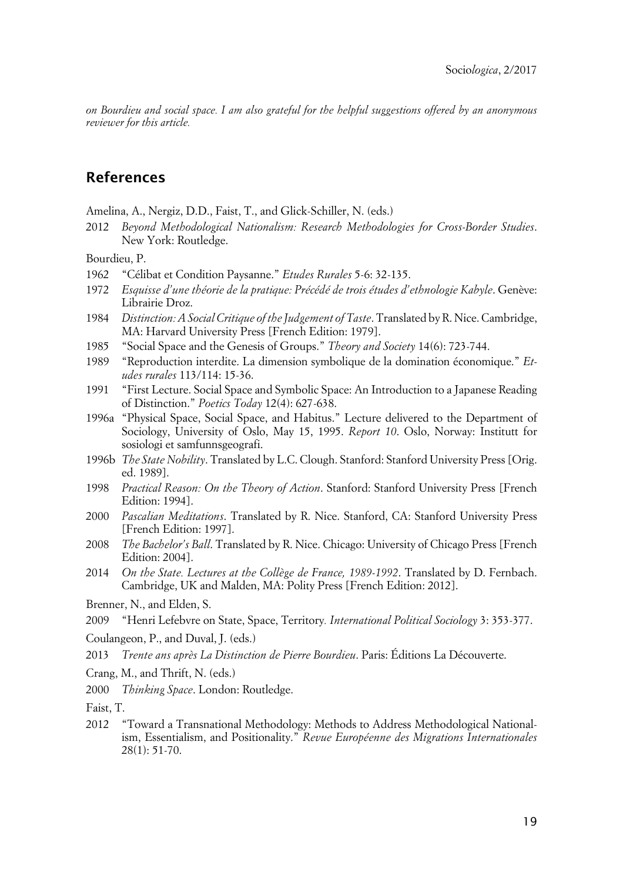*on Bourdieu and social space. I am also grateful for the helpful suggestions offered by an anonymous reviewer for this article.*

## **References**

Amelina, A., Nergiz, D.D., Faist, T., and Glick-Schiller, N. (eds.)

2012 *Beyond Methodological Nationalism: Research Methodologies for Cross-Border Studies*. New York: Routledge.

Bourdieu, P.

- 1962 "Célibat et Condition Paysanne." *Etudes Rurales* 5-6: 32-135.
- 1972 *Esquisse d'une théorie de la pratique: Précédé de trois études d'ethnologie Kabyle*. Genève: Librairie Droz.
- 1984 *Distinction: A Social Critique of the Judgement of Taste*. Translated by R. Nice. Cambridge, MA: Harvard University Press [French Edition: 1979].
- 1985 "Social Space and the Genesis of Groups." *Theory and Society* 14(6): 723-744.
- 1989 "Reproduction interdite. La dimension symbolique de la domination économique." *Etudes rurales* 113/114: 15-36.
- 1991 "First Lecture. Social Space and Symbolic Space: An Introduction to a Japanese Reading of Distinction." *Poetics Today* 12(4): 627-638.
- 1996a "Physical Space, Social Space, and Habitus." Lecture delivered to the Department of Sociology, University of Oslo, May 15, 1995. *Report 10*. Oslo, Norway: Institutt for sosiologi et samfunnsgeografi.
- 1996b *The State Nobility*. Translated by L.C. Clough. Stanford: Stanford University Press [Orig. ed. 1989].
- 1998 *Practical Reason: On the Theory of Action*. Stanford: Stanford University Press [French Edition: 1994].
- 2000 *Pascalian Meditations*. Translated by R. Nice. Stanford, CA: Stanford University Press [French Edition: 1997].
- 2008 *The Bachelor's Ball*. Translated by R. Nice. Chicago: University of Chicago Press [French Edition: 2004].
- 2014 *On the State. Lectures at the Collège de France, 1989-1992*. Translated by D. Fernbach. Cambridge, UK and Malden, MA: Polity Press [French Edition: 2012].

Brenner, N., and Elden, S.

Coulangeon, P., and Duval, J. (eds.)

- 2013 *Trente ans après La Distinction de Pierre Bourdieu*. Paris: Éditions La Découverte.
- Crang, M., and Thrift, N. (eds.)
- 2000 *Thinking Space*. London: Routledge.

Faist, T.

2012 "Toward a Transnational Methodology: Methods to Address Methodological Nationalism, Essentialism, and Positionality." *Revue Européenne des Migrations Internationales* 28(1): 51-70.

<sup>2009</sup> "Henri Lefebvre on State, Space, Territory*. International Political Sociology* 3: 353-377.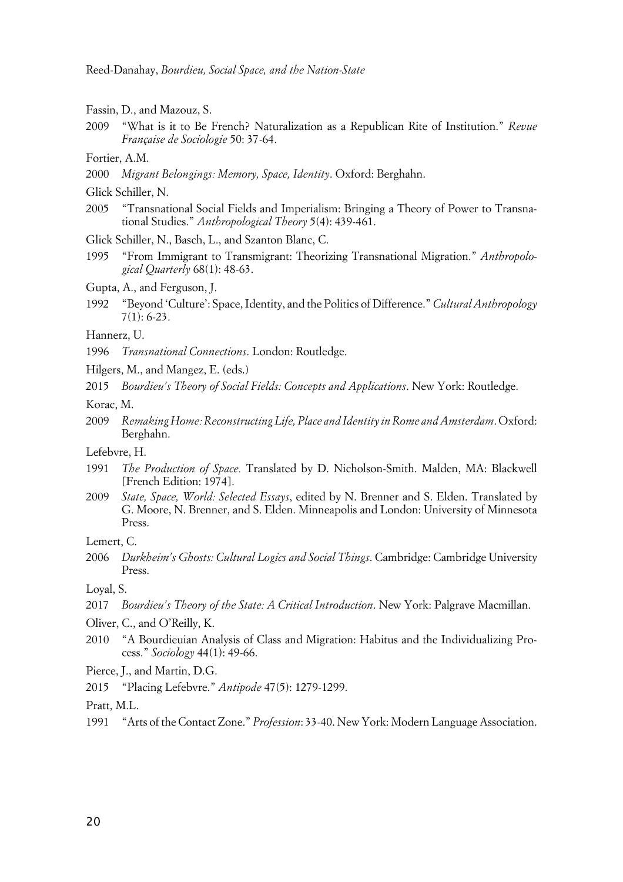- Fassin, D., and Mazouz, S.
- 2009 "What is it to Be French? Naturalization as a Republican Rite of Institution." *Revue Française de Sociologie* 50: 37-64.
- Fortier, A.M.
- 2000 *Migrant Belongings: Memory, Space, Identity*. Oxford: Berghahn.
- Glick Schiller, N.
- 2005 "Transnational Social Fields and Imperialism: Bringing a Theory of Power to Transnational Studies." *Anthropological Theory* 5(4): 439-461.
- Glick Schiller, N., Basch, L., and Szanton Blanc, C.
- 1995 "From Immigrant to Transmigrant: Theorizing Transnational Migration." *Anthropological Quarterly* 68(1): 48-63.
- Gupta, A., and Ferguson, J.
- 1992 "Beyond 'Culture': Space, Identity, and the Politics of Difference." *Cultural Anthropology* 7(1): 6-23.

#### Hannerz, U.

- 1996 *Transnational Connections*. London: Routledge.
- Hilgers, M., and Mangez, E. (eds.)
- 2015 *Bourdieu's Theory of Social Fields: Concepts and Applications*. New York: Routledge.

Korac, M.

2009 *Remaking Home: Reconstructing Life, Place and Identity in Rome and Amsterdam*. Oxford: Berghahn.

Lefebvre, H.

- 1991 *The Production of Space.* Translated by D. Nicholson-Smith. Malden, MA: Blackwell [French Edition: 1974].
- 2009 *State, Space, World: Selected Essays*, edited by N. Brenner and S. Elden. Translated by G. Moore, N. Brenner, and S. Elden. Minneapolis and London: University of Minnesota Press.

Lemert, C.

2006 *Durkheim's Ghosts: Cultural Logics and Social Things*. Cambridge: Cambridge University Press.

Loyal, S.

- 2017 *Bourdieu's Theory of the State: A Critical Introduction*. New York: Palgrave Macmillan.
- Oliver, C., and O'Reilly, K.
- 2010 "A Bourdieuian Analysis of Class and Migration: Habitus and the Individualizing Process." *Sociology* 44(1): 49-66.

Pierce, J., and Martin, D.G.

2015 "Placing Lefebvre." *Antipode* 47(5): 1279-1299.

Pratt, M.L.

1991 "Arts of the Contact Zone." *Profession*: 33-40. New York: Modern Language Association.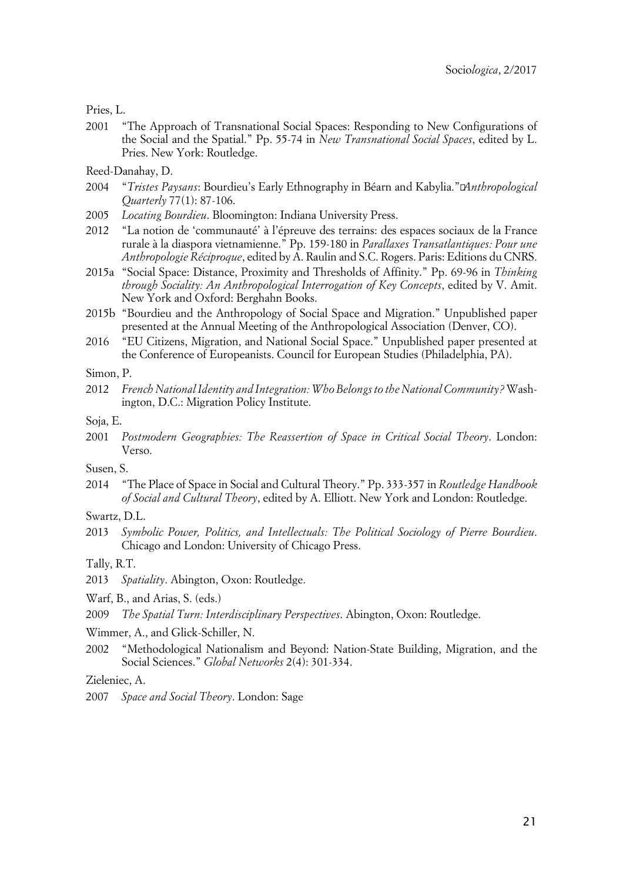Pries, L.

2001 "The Approach of Transnational Social Spaces: Responding to New Configurations of the Social and the Spatial." Pp. 55-74 in *New Transnational Social Spaces*, edited by L. Pries. New York: Routledge.

Reed-Danahay, D.

- 2004 "*Tristes Paysans*: Bourdieu's Early Ethnography in Béarn and Kabylia."*Anthropological Quarterly* 77(1): 87-106.
- 2005 *Locating Bourdieu*. Bloomington: Indiana University Press.
- 2012 "La notion de 'communauté' à l'épreuve des terrains: des espaces sociaux de la France rurale à la diaspora vietnamienne." Pp. 159-180 in *Parallaxes Transatlantiques: Pour une Anthropologie Réciproque*, edited by A. Raulin and S.C. Rogers. Paris: Editions du CNRS.
- 2015a "Social Space: Distance, Proximity and Thresholds of Affinity." Pp. 69-96 in *Thinking through Sociality: An Anthropological Interrogation of Key Concepts*, edited by V. Amit. New York and Oxford: Berghahn Books.
- 2015b "Bourdieu and the Anthropology of Social Space and Migration." Unpublished paper presented at the Annual Meeting of the Anthropological Association (Denver, CO).
- 2016 "EU Citizens, Migration, and National Social Space." Unpublished paper presented at the Conference of Europeanists. Council for European Studies (Philadelphia, PA).

Simon, P.

- 2012 *French National Identity and Integration: Who Belongs to the National Community?* Washington, D.C.: Migration Policy Institute.
- Soja, E.
- 2001 *Postmodern Geographies: The Reassertion of Space in Critical Social Theory*. London: Verso.

Susen, S.

2014 "The Place of Space in Social and Cultural Theory." Pp. 333-357 in *Routledge Handbook of Social and Cultural Theory*, edited by A. Elliott. New York and London: Routledge.

Swartz, D.L.

2013 *Symbolic Power, Politics, and Intellectuals: The Political Sociology of Pierre Bourdieu*. Chicago and London: University of Chicago Press.

Tally, R.T.

2013 *Spatiality*. Abington, Oxon: Routledge.

Warf, B., and Arias, S. (eds.)

2009 *The Spatial Turn: Interdisciplinary Perspectives*. Abington, Oxon: Routledge.

Wimmer, A., and Glick-Schiller, N.

2002 "Methodological Nationalism and Beyond: Nation-State Building, Migration, and the Social Sciences." *Global Networks* 2(4): 301-334.

Zieleniec, A.

<sup>2007</sup> *Space and Social Theory*. London: Sage